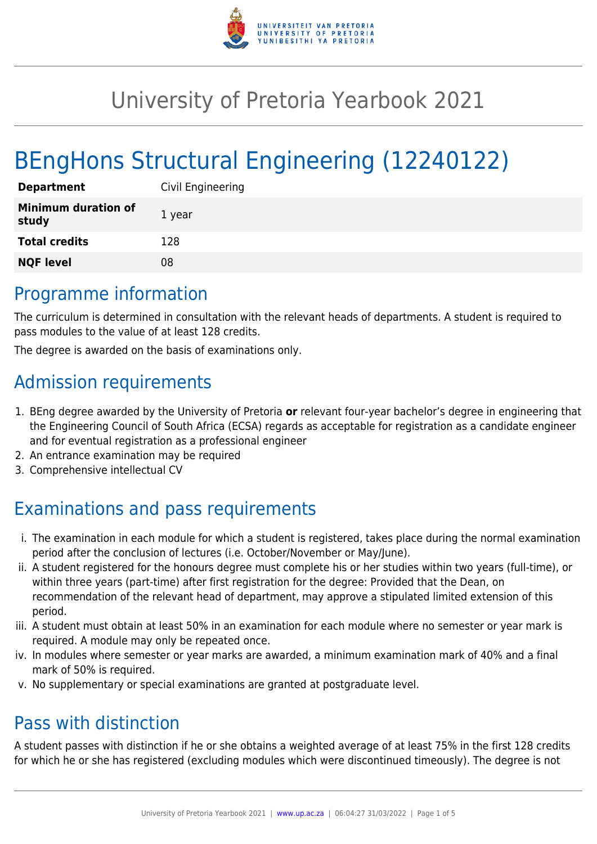

# University of Pretoria Yearbook 2021

# BEngHons Structural Engineering (12240122)

| <b>Department</b>                   | Civil Engineering |
|-------------------------------------|-------------------|
| <b>Minimum duration of</b><br>study | 1 year            |
| <b>Total credits</b>                | 128               |
| <b>NQF level</b>                    | 08                |

## Programme information

The curriculum is determined in consultation with the relevant heads of departments. A student is required to pass modules to the value of at least 128 credits.

The degree is awarded on the basis of examinations only.

# Admission requirements

- 1. BEng degree awarded by the University of Pretoria **or** relevant four-year bachelor's degree in engineering that the Engineering Council of South Africa (ECSA) regards as acceptable for registration as a candidate engineer and for eventual registration as a professional engineer
- 2. An entrance examination may be required
- 3. Comprehensive intellectual CV

# Examinations and pass requirements

- i. The examination in each module for which a student is registered, takes place during the normal examination period after the conclusion of lectures (i.e. October/November or May/June).
- ii. A student registered for the honours degree must complete his or her studies within two years (full-time), or within three years (part-time) after first registration for the degree: Provided that the Dean, on recommendation of the relevant head of department, may approve a stipulated limited extension of this period.
- iii. A student must obtain at least 50% in an examination for each module where no semester or year mark is required. A module may only be repeated once.
- iv. In modules where semester or year marks are awarded, a minimum examination mark of 40% and a final mark of 50% is required.
- v. No supplementary or special examinations are granted at postgraduate level.

## Pass with distinction

A student passes with distinction if he or she obtains a weighted average of at least 75% in the first 128 credits for which he or she has registered (excluding modules which were discontinued timeously). The degree is not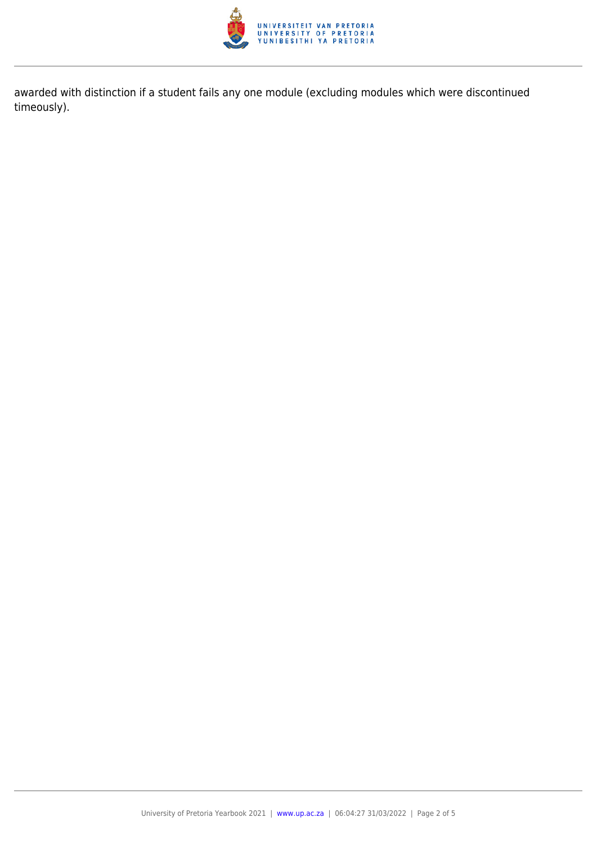

awarded with distinction if a student fails any one module (excluding modules which were discontinued timeously).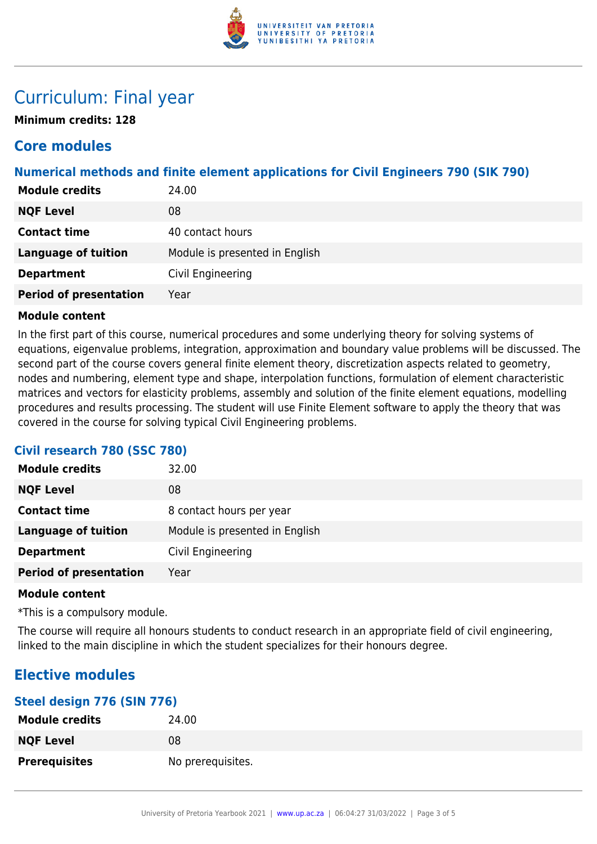

## Curriculum: Final year

**Minimum credits: 128**

### **Core modules**

### **Numerical methods and finite element applications for Civil Engineers 790 (SIK 790)**

| <b>Module credits</b>         | 24.00                          |
|-------------------------------|--------------------------------|
| <b>NQF Level</b>              | 08                             |
| <b>Contact time</b>           | 40 contact hours               |
| <b>Language of tuition</b>    | Module is presented in English |
| <b>Department</b>             | Civil Engineering              |
| <b>Period of presentation</b> | Year                           |

#### **Module content**

In the first part of this course, numerical procedures and some underlying theory for solving systems of equations, eigenvalue problems, integration, approximation and boundary value problems will be discussed. The second part of the course covers general finite element theory, discretization aspects related to geometry, nodes and numbering, element type and shape, interpolation functions, formulation of element characteristic matrices and vectors for elasticity problems, assembly and solution of the finite element equations, modelling procedures and results processing. The student will use Finite Element software to apply the theory that was covered in the course for solving typical Civil Engineering problems.

### **Civil research 780 (SSC 780)**

| <b>Module credits</b>         | 32.00                          |
|-------------------------------|--------------------------------|
| <b>NQF Level</b>              | 08                             |
| <b>Contact time</b>           | 8 contact hours per year       |
| <b>Language of tuition</b>    | Module is presented in English |
| <b>Department</b>             | Civil Engineering              |
| <b>Period of presentation</b> | Year                           |

#### **Module content**

\*This is a compulsory module.

The course will require all honours students to conduct research in an appropriate field of civil engineering, linked to the main discipline in which the student specializes for their honours degree.

### **Elective modules**

#### **Steel design 776 (SIN 776)**

| <b>Module credits</b> | 24.00             |
|-----------------------|-------------------|
| <b>NQF Level</b>      | 08                |
| <b>Prerequisites</b>  | No prerequisites. |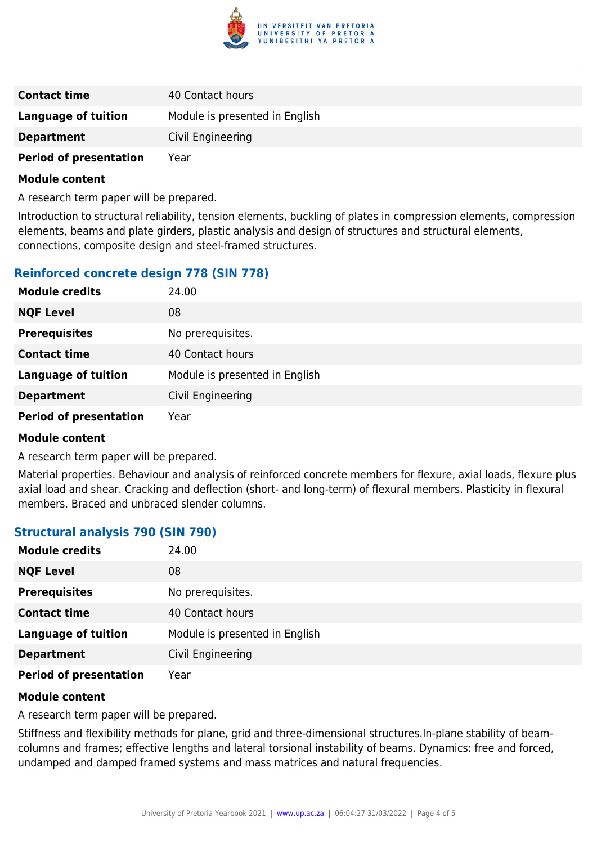

| <b>Contact time</b>           | 40 Contact hours               |
|-------------------------------|--------------------------------|
| Language of tuition           | Module is presented in English |
| <b>Department</b>             | Civil Engineering              |
| <b>Period of presentation</b> | Year                           |

#### **Module content**

A research term paper will be prepared.

Introduction to structural reliability, tension elements, buckling of plates in compression elements, compression elements, beams and plate girders, plastic analysis and design of structures and structural elements, connections, composite design and steel-framed structures.

#### **Reinforced concrete design 778 (SIN 778)**

| <b>Module credits</b>         | 24.00                          |
|-------------------------------|--------------------------------|
| <b>NQF Level</b>              | 08                             |
| <b>Prerequisites</b>          | No prerequisites.              |
| <b>Contact time</b>           | 40 Contact hours               |
| <b>Language of tuition</b>    | Module is presented in English |
| <b>Department</b>             | Civil Engineering              |
| <b>Period of presentation</b> | Year                           |

#### **Module content**

A research term paper will be prepared.

Material properties. Behaviour and analysis of reinforced concrete members for flexure, axial loads, flexure plus axial load and shear. Cracking and deflection (short- and long-term) of flexural members. Plasticity in flexural members. Braced and unbraced slender columns.

#### **Structural analysis 790 (SIN 790)**

| <b>Module credits</b>         | 24.00                          |
|-------------------------------|--------------------------------|
| <b>NQF Level</b>              | 08                             |
| <b>Prerequisites</b>          | No prerequisites.              |
| <b>Contact time</b>           | 40 Contact hours               |
| <b>Language of tuition</b>    | Module is presented in English |
| <b>Department</b>             | Civil Engineering              |
| <b>Period of presentation</b> | Year                           |

#### **Module content**

A research term paper will be prepared.

Stiffness and flexibility methods for plane, grid and three-dimensional structures.In-plane stability of beamcolumns and frames; effective lengths and lateral torsional instability of beams. Dynamics: free and forced, undamped and damped framed systems and mass matrices and natural frequencies.